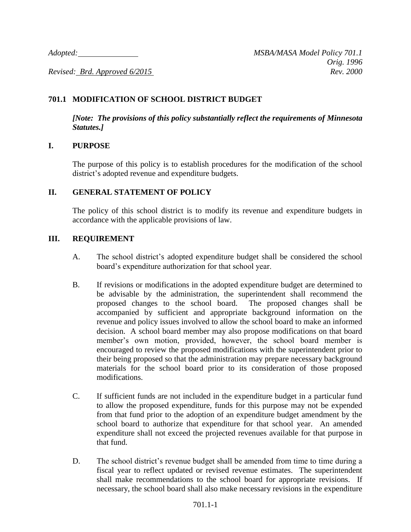## **701.1 MODIFICATION OF SCHOOL DISTRICT BUDGET**

*[Note: The provisions of this policy substantially reflect the requirements of Minnesota Statutes.]*

## **I. PURPOSE**

The purpose of this policy is to establish procedures for the modification of the school district's adopted revenue and expenditure budgets.

## **II. GENERAL STATEMENT OF POLICY**

The policy of this school district is to modify its revenue and expenditure budgets in accordance with the applicable provisions of law.

## **III. REQUIREMENT**

- A. The school district's adopted expenditure budget shall be considered the school board's expenditure authorization for that school year.
- B. If revisions or modifications in the adopted expenditure budget are determined to be advisable by the administration, the superintendent shall recommend the proposed changes to the school board. The proposed changes shall be accompanied by sufficient and appropriate background information on the revenue and policy issues involved to allow the school board to make an informed decision. A school board member may also propose modifications on that board member's own motion, provided, however, the school board member is encouraged to review the proposed modifications with the superintendent prior to their being proposed so that the administration may prepare necessary background materials for the school board prior to its consideration of those proposed modifications.
- C. If sufficient funds are not included in the expenditure budget in a particular fund to allow the proposed expenditure, funds for this purpose may not be expended from that fund prior to the adoption of an expenditure budget amendment by the school board to authorize that expenditure for that school year. An amended expenditure shall not exceed the projected revenues available for that purpose in that fund.
- D. The school district's revenue budget shall be amended from time to time during a fiscal year to reflect updated or revised revenue estimates. The superintendent shall make recommendations to the school board for appropriate revisions. If necessary, the school board shall also make necessary revisions in the expenditure